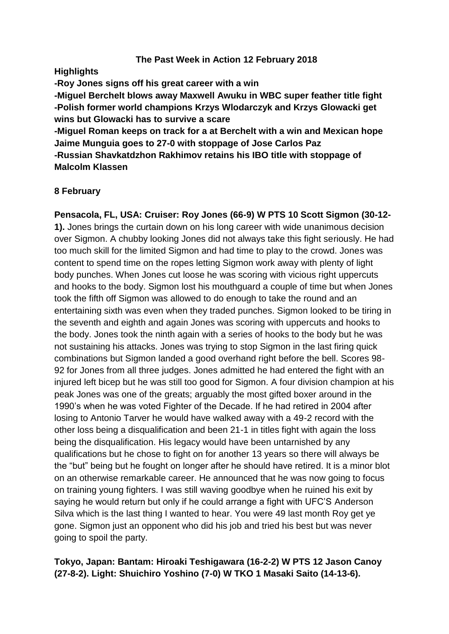### **The Past Week in Action 12 February 2018**

**Highlights**

**-Roy Jones signs off his great career with a win**

**-Miguel Berchelt blows away Maxwell Awuku in WBC super feather title fight -Polish former world champions Krzys Wlodarczyk and Krzys Glowacki get wins but Glowacki has to survive a scare**

**-Miguel Roman keeps on track for a at Berchelt with a win and Mexican hope Jaime Munguia goes to 27-0 with stoppage of Jose Carlos Paz**

**-Russian Shavkatdzhon Rakhimov retains his IBO title with stoppage of Malcolm Klassen**

# **8 February**

**Pensacola, FL, USA: Cruiser: Roy Jones (66-9) W PTS 10 Scott Sigmon (30-12- 1).** Jones brings the curtain down on his long career with wide unanimous decision over Sigmon. A chubby looking Jones did not always take this fight seriously. He had too much skill for the limited Sigmon and had time to play to the crowd. Jones was content to spend time on the ropes letting Sigmon work away with plenty of light body punches. When Jones cut loose he was scoring with vicious right uppercuts and hooks to the body. Sigmon lost his mouthguard a couple of time but when Jones took the fifth off Sigmon was allowed to do enough to take the round and an entertaining sixth was even when they traded punches. Sigmon looked to be tiring in the seventh and eighth and again Jones was scoring with uppercuts and hooks to the body. Jones took the ninth again with a series of hooks to the body but he was not sustaining his attacks. Jones was trying to stop Sigmon in the last firing quick combinations but Sigmon landed a good overhand right before the bell. Scores 98- 92 for Jones from all three judges. Jones admitted he had entered the fight with an injured left bicep but he was still too good for Sigmon. A four division champion at his peak Jones was one of the greats; arguably the most gifted boxer around in the 1990's when he was voted Fighter of the Decade. If he had retired in 2004 after losing to Antonio Tarver he would have walked away with a 49-2 record with the other loss being a disqualification and been 21-1 in titles fight with again the loss being the disqualification. His legacy would have been untarnished by any qualifications but he chose to fight on for another 13 years so there will always be the "but" being but he fought on longer after he should have retired. It is a minor blot on an otherwise remarkable career. He announced that he was now going to focus on training young fighters. I was still waving goodbye when he ruined his exit by saying he would return but only if he could arrange a fight with UFC'S Anderson Silva which is the last thing I wanted to hear. You were 49 last month Roy get ye gone. Sigmon just an opponent who did his job and tried his best but was never going to spoil the party.

# **Tokyo, Japan: Bantam: Hiroaki Teshigawara (16-2-2) W PTS 12 Jason Canoy (27-8-2). Light: Shuichiro Yoshino (7-0) W TKO 1 Masaki Saito (14-13-6).**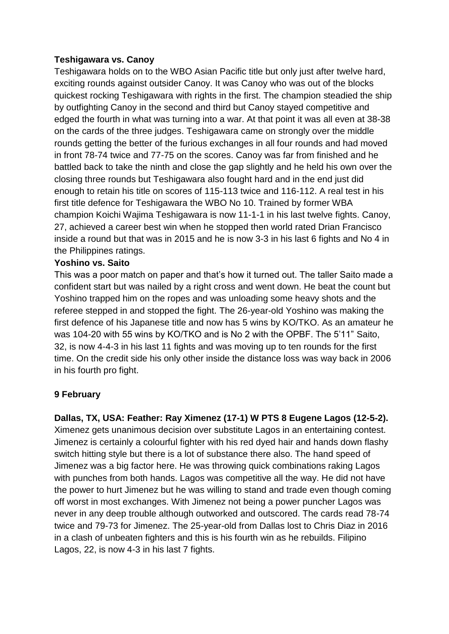### **Teshigawara vs. Canoy**

Teshigawara holds on to the WBO Asian Pacific title but only just after twelve hard, exciting rounds against outsider Canoy. It was Canoy who was out of the blocks quickest rocking Teshigawara with rights in the first. The champion steadied the ship by outfighting Canoy in the second and third but Canoy stayed competitive and edged the fourth in what was turning into a war. At that point it was all even at 38-38 on the cards of the three judges. Teshigawara came on strongly over the middle rounds getting the better of the furious exchanges in all four rounds and had moved in front 78-74 twice and 77-75 on the scores. Canoy was far from finished and he battled back to take the ninth and close the gap slightly and he held his own over the closing three rounds but Teshigawara also fought hard and in the end just did enough to retain his title on scores of 115-113 twice and 116-112. A real test in his first title defence for Teshigawara the WBO No 10. Trained by former WBA champion Koichi Wajima Teshigawara is now 11-1-1 in his last twelve fights. Canoy, 27, achieved a career best win when he stopped then world rated Drian Francisco inside a round but that was in 2015 and he is now 3-3 in his last 6 fights and No 4 in the Philippines ratings.

### **Yoshino vs. Saito**

This was a poor match on paper and that's how it turned out. The taller Saito made a confident start but was nailed by a right cross and went down. He beat the count but Yoshino trapped him on the ropes and was unloading some heavy shots and the referee stepped in and stopped the fight. The 26-year-old Yoshino was making the first defence of his Japanese title and now has 5 wins by KO/TKO. As an amateur he was 104-20 with 55 wins by KO/TKO and is No 2 with the OPBF. The 5'11" Saito, 32, is now 4-4-3 in his last 11 fights and was moving up to ten rounds for the first time. On the credit side his only other inside the distance loss was way back in 2006 in his fourth pro fight.

# **9 February**

**Dallas, TX, USA: Feather: Ray Ximenez (17-1) W PTS 8 Eugene Lagos (12-5-2).** Ximenez gets unanimous decision over substitute Lagos in an entertaining contest. Jimenez is certainly a colourful fighter with his red dyed hair and hands down flashy switch hitting style but there is a lot of substance there also. The hand speed of Jimenez was a big factor here. He was throwing quick combinations raking Lagos with punches from both hands. Lagos was competitive all the way. He did not have the power to hurt Jimenez but he was willing to stand and trade even though coming off worst in most exchanges. With Jimenez not being a power puncher Lagos was never in any deep trouble although outworked and outscored. The cards read 78-74 twice and 79-73 for Jimenez. The 25-year-old from Dallas lost to Chris Diaz in 2016 in a clash of unbeaten fighters and this is his fourth win as he rebuilds. Filipino Lagos, 22, is now 4-3 in his last 7 fights.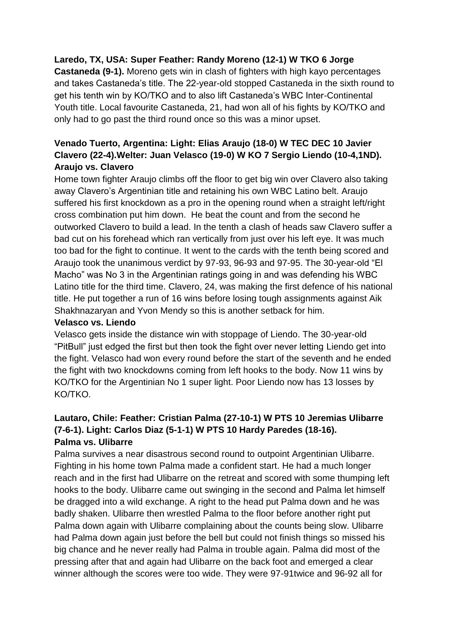# **Laredo, TX, USA: Super Feather: Randy Moreno (12-1) W TKO 6 Jorge**

**Castaneda (9-1).** Moreno gets win in clash of fighters with high kayo percentages and takes Castaneda's title. The 22-year-old stopped Castaneda in the sixth round to get his tenth win by KO/TKO and to also lift Castaneda's WBC Inter-Continental Youth title. Local favourite Castaneda, 21, had won all of his fights by KO/TKO and only had to go past the third round once so this was a minor upset.

# **Venado Tuerto, Argentina: Light: Elias Araujo (18-0) W TEC DEC 10 Javier Clavero (22-4).Welter: Juan Velasco (19-0) W KO 7 Sergio Liendo (10-4,1ND). Araujo vs. Clavero**

Home town fighter Araujo climbs off the floor to get big win over Clavero also taking away Clavero's Argentinian title and retaining his own WBC Latino belt. Araujo suffered his first knockdown as a pro in the opening round when a straight left/right cross combination put him down. He beat the count and from the second he outworked Clavero to build a lead. In the tenth a clash of heads saw Clavero suffer a bad cut on his forehead which ran vertically from just over his left eye. It was much too bad for the fight to continue. It went to the cards with the tenth being scored and Araujo took the unanimous verdict by 97-93, 96-93 and 97-95. The 30-year-old "El Macho" was No 3 in the Argentinian ratings going in and was defending his WBC Latino title for the third time. Clavero, 24, was making the first defence of his national title. He put together a run of 16 wins before losing tough assignments against Aik Shakhnazaryan and Yvon Mendy so this is another setback for him.

#### **Velasco vs. Liendo**

Velasco gets inside the distance win with stoppage of Liendo. The 30-year-old "PitBull" just edged the first but then took the fight over never letting Liendo get into the fight. Velasco had won every round before the start of the seventh and he ended the fight with two knockdowns coming from left hooks to the body. Now 11 wins by KO/TKO for the Argentinian No 1 super light. Poor Liendo now has 13 losses by KO/TKO.

# **Lautaro, Chile: Feather: Cristian Palma (27-10-1) W PTS 10 Jeremias Ulibarre (7-6-1). Light: Carlos Diaz (5-1-1) W PTS 10 Hardy Paredes (18-16). Palma vs. Ulibarre**

Palma survives a near disastrous second round to outpoint Argentinian Ulibarre. Fighting in his home town Palma made a confident start. He had a much longer reach and in the first had Ulibarre on the retreat and scored with some thumping left hooks to the body. Ulibarre came out swinging in the second and Palma let himself be dragged into a wild exchange. A right to the head put Palma down and he was badly shaken. Ulibarre then wrestled Palma to the floor before another right put Palma down again with Ulibarre complaining about the counts being slow. Ulibarre had Palma down again just before the bell but could not finish things so missed his big chance and he never really had Palma in trouble again. Palma did most of the pressing after that and again had Ulibarre on the back foot and emerged a clear winner although the scores were too wide. They were 97-91twice and 96-92 all for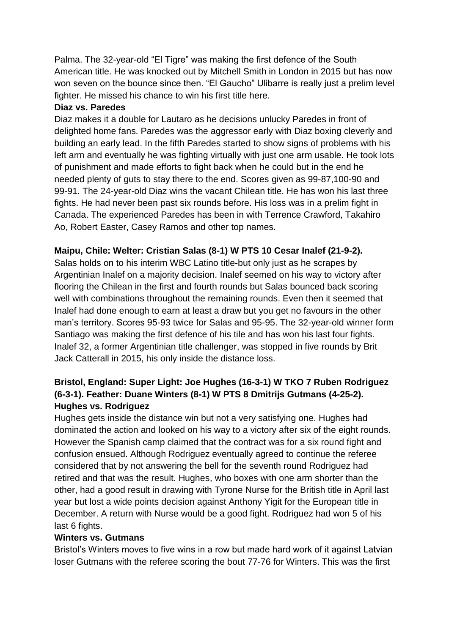Palma. The 32-year-old "El Tigre" was making the first defence of the South American title. He was knocked out by Mitchell Smith in London in 2015 but has now won seven on the bounce since then. "El Gaucho" Ulibarre is really just a prelim level fighter. He missed his chance to win his first title here.

# **Diaz vs. Paredes**

Diaz makes it a double for Lautaro as he decisions unlucky Paredes in front of delighted home fans. Paredes was the aggressor early with Diaz boxing cleverly and building an early lead. In the fifth Paredes started to show signs of problems with his left arm and eventually he was fighting virtually with just one arm usable. He took lots of punishment and made efforts to fight back when he could but in the end he needed plenty of guts to stay there to the end. Scores given as 99-87,100-90 and 99-91. The 24-year-old Diaz wins the vacant Chilean title. He has won his last three fights. He had never been past six rounds before. His loss was in a prelim fight in Canada. The experienced Paredes has been in with Terrence Crawford, Takahiro Ao, Robert Easter, Casey Ramos and other top names.

# **Maipu, Chile: Welter: Cristian Salas (8-1) W PTS 10 Cesar Inalef (21-9-2).**

Salas holds on to his interim WBC Latino title-but only just as he scrapes by Argentinian Inalef on a majority decision. Inalef seemed on his way to victory after flooring the Chilean in the first and fourth rounds but Salas bounced back scoring well with combinations throughout the remaining rounds. Even then it seemed that Inalef had done enough to earn at least a draw but you get no favours in the other man's territory. Scores 95-93 twice for Salas and 95-95. The 32-year-old winner form Santiago was making the first defence of his tile and has won his last four fights. Inalef 32, a former Argentinian title challenger, was stopped in five rounds by Brit Jack Catterall in 2015, his only inside the distance loss.

# **Bristol, England: Super Light: Joe Hughes (16-3-1) W TKO 7 Ruben Rodriguez (6-3-1). Feather: Duane Winters (8-1) W PTS 8 Dmitrijs Gutmans (4-25-2). Hughes vs. Rodriguez**

Hughes gets inside the distance win but not a very satisfying one. Hughes had dominated the action and looked on his way to a victory after six of the eight rounds. However the Spanish camp claimed that the contract was for a six round fight and confusion ensued. Although Rodriguez eventually agreed to continue the referee considered that by not answering the bell for the seventh round Rodriguez had retired and that was the result. Hughes, who boxes with one arm shorter than the other, had a good result in drawing with Tyrone Nurse for the British title in April last year but lost a wide points decision against Anthony Yigit for the European title in December. A return with Nurse would be a good fight. Rodriguez had won 5 of his last 6 fights.

#### **Winters vs. Gutmans**

Bristol's Winters moves to five wins in a row but made hard work of it against Latvian loser Gutmans with the referee scoring the bout 77-76 for Winters. This was the first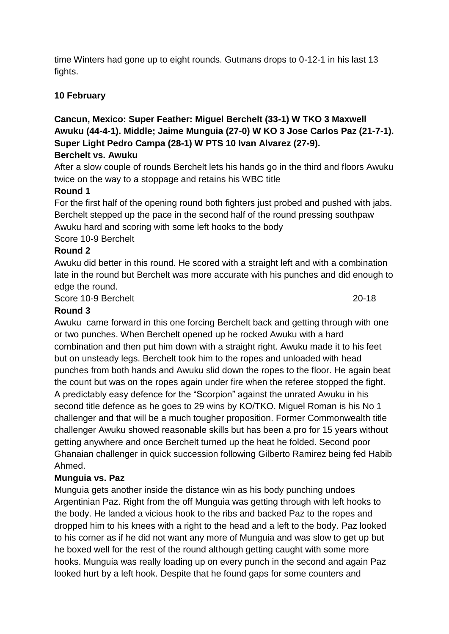time Winters had gone up to eight rounds. Gutmans drops to 0-12-1 in his last 13 fights.

# **10 February**

# **Cancun, Mexico: Super Feather: Miguel Berchelt (33-1) W TKO 3 Maxwell Awuku (44-4-1). Middle; Jaime Munguia (27-0) W KO 3 Jose Carlos Paz (21-7-1). Super Light Pedro Campa (28-1) W PTS 10 Ivan Alvarez (27-9).**

# **Berchelt vs. Awuku**

After a slow couple of rounds Berchelt lets his hands go in the third and floors Awuku twice on the way to a stoppage and retains his WBC title

# **Round 1**

For the first half of the opening round both fighters just probed and pushed with jabs. Berchelt stepped up the pace in the second half of the round pressing southpaw Awuku hard and scoring with some left hooks to the body

Score 10-9 Berchelt

# **Round 2**

Awuku did better in this round. He scored with a straight left and with a combination late in the round but Berchelt was more accurate with his punches and did enough to edge the round.

Score 10-9 Berchelt 20-18

### **Round 3**

Awuku came forward in this one forcing Berchelt back and getting through with one or two punches. When Berchelt opened up he rocked Awuku with a hard combination and then put him down with a straight right. Awuku made it to his feet but on unsteady legs. Berchelt took him to the ropes and unloaded with head punches from both hands and Awuku slid down the ropes to the floor. He again beat the count but was on the ropes again under fire when the referee stopped the fight. A predictably easy defence for the "Scorpion" against the unrated Awuku in his second title defence as he goes to 29 wins by KO/TKO. Miguel Roman is his No 1 challenger and that will be a much tougher proposition. Former Commonwealth title challenger Awuku showed reasonable skills but has been a pro for 15 years without getting anywhere and once Berchelt turned up the heat he folded. Second poor Ghanaian challenger in quick succession following Gilberto Ramirez being fed Habib Ahmed.

# **Munguia vs. Paz**

Munguia gets another inside the distance win as his body punching undoes Argentinian Paz. Right from the off Munguia was getting through with left hooks to the body. He landed a vicious hook to the ribs and backed Paz to the ropes and dropped him to his knees with a right to the head and a left to the body. Paz looked to his corner as if he did not want any more of Munguia and was slow to get up but he boxed well for the rest of the round although getting caught with some more hooks. Munguia was really loading up on every punch in the second and again Paz looked hurt by a left hook. Despite that he found gaps for some counters and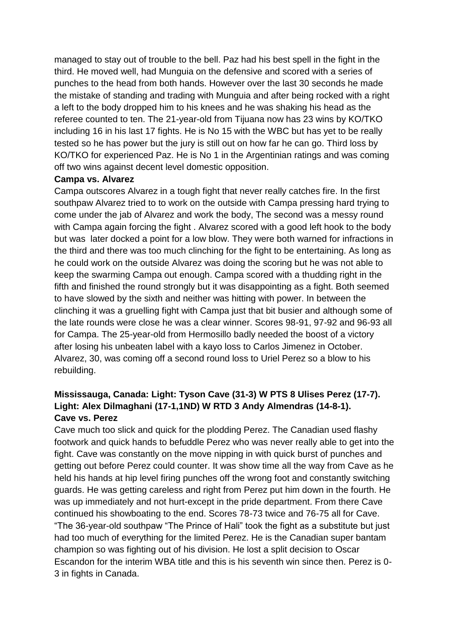managed to stay out of trouble to the bell. Paz had his best spell in the fight in the third. He moved well, had Munguia on the defensive and scored with a series of punches to the head from both hands. However over the last 30 seconds he made the mistake of standing and trading with Munguia and after being rocked with a right a left to the body dropped him to his knees and he was shaking his head as the referee counted to ten. The 21-year-old from Tijuana now has 23 wins by KO/TKO including 16 in his last 17 fights. He is No 15 with the WBC but has yet to be really tested so he has power but the jury is still out on how far he can go. Third loss by KO/TKO for experienced Paz. He is No 1 in the Argentinian ratings and was coming off two wins against decent level domestic opposition.

#### **Campa vs. Alvarez**

Campa outscores Alvarez in a tough fight that never really catches fire. In the first southpaw Alvarez tried to to work on the outside with Campa pressing hard trying to come under the jab of Alvarez and work the body, The second was a messy round with Campa again forcing the fight . Alvarez scored with a good left hook to the body but was later docked a point for a low blow. They were both warned for infractions in the third and there was too much clinching for the fight to be entertaining. As long as he could work on the outside Alvarez was doing the scoring but he was not able to keep the swarming Campa out enough. Campa scored with a thudding right in the fifth and finished the round strongly but it was disappointing as a fight. Both seemed to have slowed by the sixth and neither was hitting with power. In between the clinching it was a gruelling fight with Campa just that bit busier and although some of the late rounds were close he was a clear winner. Scores 98-91, 97-92 and 96-93 all for Campa. The 25-year-old from Hermosillo badly needed the boost of a victory after losing his unbeaten label with a kayo loss to Carlos Jimenez in October. Alvarez, 30, was coming off a second round loss to Uriel Perez so a blow to his rebuilding.

# **Mississauga, Canada: Light: Tyson Cave (31-3) W PTS 8 Ulises Perez (17-7). Light: Alex Dilmaghani (17-1,1ND) W RTD 3 Andy Almendras (14-8-1). Cave vs. Perez**

Cave much too slick and quick for the plodding Perez. The Canadian used flashy footwork and quick hands to befuddle Perez who was never really able to get into the fight. Cave was constantly on the move nipping in with quick burst of punches and getting out before Perez could counter. It was show time all the way from Cave as he held his hands at hip level firing punches off the wrong foot and constantly switching guards. He was getting careless and right from Perez put him down in the fourth. He was up immediately and not hurt-except in the pride department. From there Cave continued his showboating to the end. Scores 78-73 twice and 76-75 all for Cave. "The 36-year-old southpaw "The Prince of Hali" took the fight as a substitute but just had too much of everything for the limited Perez. He is the Canadian super bantam champion so was fighting out of his division. He lost a split decision to Oscar Escandon for the interim WBA title and this is his seventh win since then. Perez is 0- 3 in fights in Canada.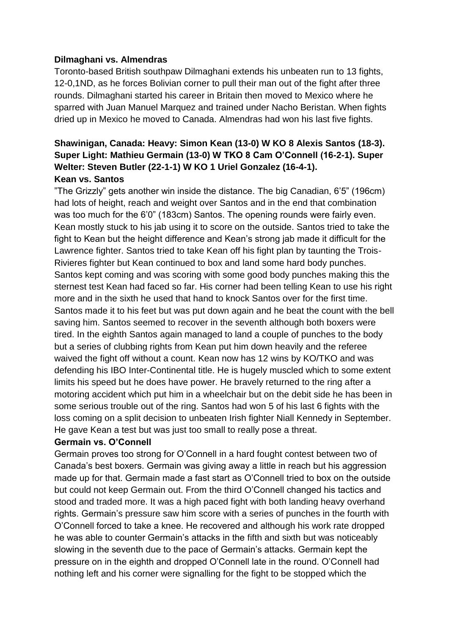#### **Dilmaghani vs. Almendras**

Toronto-based British southpaw Dilmaghani extends his unbeaten run to 13 fights, 12-0,1ND, as he forces Bolivian corner to pull their man out of the fight after three rounds. Dilmaghani started his career in Britain then moved to Mexico where he sparred with Juan Manuel Marquez and trained under Nacho Beristan. When fights dried up in Mexico he moved to Canada. Almendras had won his last five fights.

# **Shawinigan, Canada: Heavy: Simon Kean (13-0) W KO 8 Alexis Santos (18-3). Super Light: Mathieu Germain (13-0) W TKO 8 Cam O'Connell (16-2-1). Super Welter: Steven Butler (22-1-1) W KO 1 Uriel Gonzalez (16-4-1). Kean vs. Santos**

"The Grizzly" gets another win inside the distance. The big Canadian, 6'5" (196cm) had lots of height, reach and weight over Santos and in the end that combination was too much for the 6'0" (183cm) Santos. The opening rounds were fairly even. Kean mostly stuck to his jab using it to score on the outside. Santos tried to take the fight to Kean but the height difference and Kean's strong jab made it difficult for the Lawrence fighter. Santos tried to take Kean off his fight plan by taunting the Trois-Rivieres fighter but Kean continued to box and land some hard body punches. Santos kept coming and was scoring with some good body punches making this the sternest test Kean had faced so far. His corner had been telling Kean to use his right more and in the sixth he used that hand to knock Santos over for the first time. Santos made it to his feet but was put down again and he beat the count with the bell saving him. Santos seemed to recover in the seventh although both boxers were tired. In the eighth Santos again managed to land a couple of punches to the body but a series of clubbing rights from Kean put him down heavily and the referee waived the fight off without a count. Kean now has 12 wins by KO/TKO and was defending his IBO Inter-Continental title. He is hugely muscled which to some extent limits his speed but he does have power. He bravely returned to the ring after a motoring accident which put him in a wheelchair but on the debit side he has been in some serious trouble out of the ring. Santos had won 5 of his last 6 fights with the loss coming on a split decision to unbeaten Irish fighter Niall Kennedy in September. He gave Kean a test but was just too small to really pose a threat.

#### **Germain vs. O'Connell**

Germain proves too strong for O'Connell in a hard fought contest between two of Canada's best boxers. Germain was giving away a little in reach but his aggression made up for that. Germain made a fast start as O'Connell tried to box on the outside but could not keep Germain out. From the third O'Connell changed his tactics and stood and traded more. It was a high paced fight with both landing heavy overhand rights. Germain's pressure saw him score with a series of punches in the fourth with O'Connell forced to take a knee. He recovered and although his work rate dropped he was able to counter Germain's attacks in the fifth and sixth but was noticeably slowing in the seventh due to the pace of Germain's attacks. Germain kept the pressure on in the eighth and dropped O'Connell late in the round. O'Connell had nothing left and his corner were signalling for the fight to be stopped which the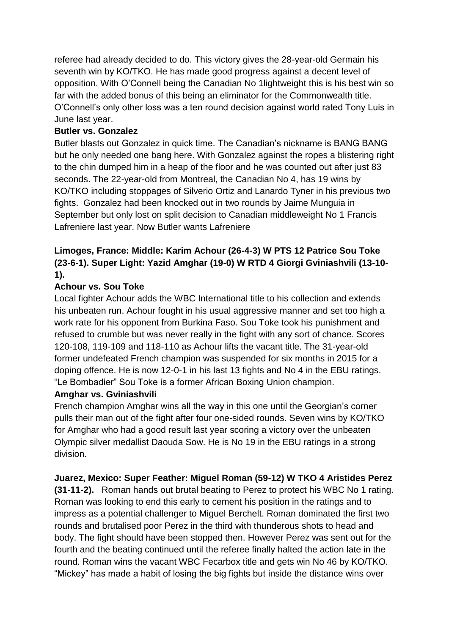referee had already decided to do. This victory gives the 28-year-old Germain his seventh win by KO/TKO. He has made good progress against a decent level of opposition. With O'Connell being the Canadian No 1lightweight this is his best win so far with the added bonus of this being an eliminator for the Commonwealth title. O'Connell's only other loss was a ten round decision against world rated Tony Luis in June last year.

# **Butler vs. Gonzalez**

Butler blasts out Gonzalez in quick time. The Canadian's nickname is BANG BANG but he only needed one bang here. With Gonzalez against the ropes a blistering right to the chin dumped him in a heap of the floor and he was counted out after just 83 seconds. The 22-year-old from Montreal, the Canadian No 4, has 19 wins by KO/TKO including stoppages of Silverio Ortiz and Lanardo Tyner in his previous two fights. Gonzalez had been knocked out in two rounds by Jaime Munguia in September but only lost on split decision to Canadian middleweight No 1 Francis Lafreniere last year. Now Butler wants Lafreniere

# **Limoges, France: Middle: Karim Achour (26-4-3) W PTS 12 Patrice Sou Toke (23-6-1). Super Light: Yazid Amghar (19-0) W RTD 4 Giorgi Gviniashvili (13-10- 1).**

# **Achour vs. Sou Toke**

Local fighter Achour adds the WBC International title to his collection and extends his unbeaten run. Achour fought in his usual aggressive manner and set too high a work rate for his opponent from Burkina Faso. Sou Toke took his punishment and refused to crumble but was never really in the fight with any sort of chance. Scores 120-108, 119-109 and 118-110 as Achour lifts the vacant title. The 31-year-old former undefeated French champion was suspended for six months in 2015 for a doping offence. He is now 12-0-1 in his last 13 fights and No 4 in the EBU ratings. "Le Bombadier" Sou Toke is a former African Boxing Union champion.

# **Amghar vs. Gviniashvili**

French champion Amghar wins all the way in this one until the Georgian's corner pulls their man out of the fight after four one-sided rounds. Seven wins by KO/TKO for Amghar who had a good result last year scoring a victory over the unbeaten Olympic silver medallist Daouda Sow. He is No 19 in the EBU ratings in a strong division.

# **Juarez, Mexico: Super Feather: Miguel Roman (59-12) W TKO 4 Aristides Perez**

**(31-11-2).** Roman hands out brutal beating to Perez to protect his WBC No 1 rating. Roman was looking to end this early to cement his position in the ratings and to impress as a potential challenger to Miguel Berchelt. Roman dominated the first two rounds and brutalised poor Perez in the third with thunderous shots to head and body. The fight should have been stopped then. However Perez was sent out for the fourth and the beating continued until the referee finally halted the action late in the round. Roman wins the vacant WBC Fecarbox title and gets win No 46 by KO/TKO. "Mickey" has made a habit of losing the big fights but inside the distance wins over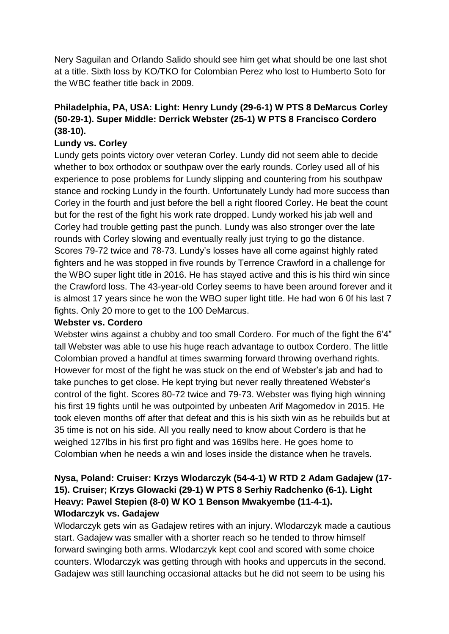Nery Saguilan and Orlando Salido should see him get what should be one last shot at a title. Sixth loss by KO/TKO for Colombian Perez who lost to Humberto Soto for the WBC feather title back in 2009.

# **Philadelphia, PA, USA: Light: Henry Lundy (29-6-1) W PTS 8 DeMarcus Corley (50-29-1). Super Middle: Derrick Webster (25-1) W PTS 8 Francisco Cordero (38-10).**

# **Lundy vs. Corley**

Lundy gets points victory over veteran Corley. Lundy did not seem able to decide whether to box orthodox or southpaw over the early rounds. Corley used all of his experience to pose problems for Lundy slipping and countering from his southpaw stance and rocking Lundy in the fourth. Unfortunately Lundy had more success than Corley in the fourth and just before the bell a right floored Corley. He beat the count but for the rest of the fight his work rate dropped. Lundy worked his jab well and Corley had trouble getting past the punch. Lundy was also stronger over the late rounds with Corley slowing and eventually really just trying to go the distance. Scores 79-72 twice and 78-73. Lundy's losses have all come against highly rated fighters and he was stopped in five rounds by Terrence Crawford in a challenge for the WBO super light title in 2016. He has stayed active and this is his third win since the Crawford loss. The 43-year-old Corley seems to have been around forever and it is almost 17 years since he won the WBO super light title. He had won 6 0f his last 7 fights. Only 20 more to get to the 100 DeMarcus.

### **Webster vs. Cordero**

Webster wins against a chubby and too small Cordero. For much of the fight the 6'4" tall Webster was able to use his huge reach advantage to outbox Cordero. The little Colombian proved a handful at times swarming forward throwing overhand rights. However for most of the fight he was stuck on the end of Webster's jab and had to take punches to get close. He kept trying but never really threatened Webster's control of the fight. Scores 80-72 twice and 79-73. Webster was flying high winning his first 19 fights until he was outpointed by unbeaten Arif Magomedov in 2015. He took eleven months off after that defeat and this is his sixth win as he rebuilds but at 35 time is not on his side. All you really need to know about Cordero is that he weighed 127lbs in his first pro fight and was 169lbs here. He goes home to Colombian when he needs a win and loses inside the distance when he travels.

# **Nysa, Poland: Cruiser: Krzys Wlodarczyk (54-4-1) W RTD 2 Adam Gadajew (17- 15). Cruiser; Krzys Glowacki (29-1) W PTS 8 Serhiy Radchenko (6-1). Light Heavy: Pawel Stepien (8-0) W KO 1 Benson Mwakyembe (11-4-1). Wlodarczyk vs. Gadajew**

Wlodarczyk gets win as Gadajew retires with an injury. Wlodarczyk made a cautious start. Gadajew was smaller with a shorter reach so he tended to throw himself forward swinging both arms. Wlodarczyk kept cool and scored with some choice counters. Wlodarczyk was getting through with hooks and uppercuts in the second. Gadajew was still launching occasional attacks but he did not seem to be using his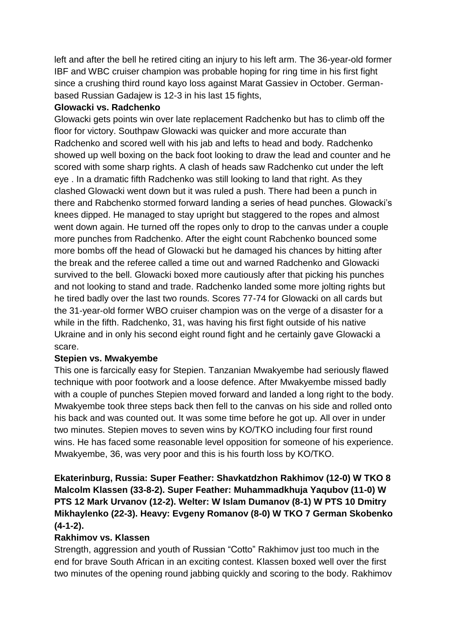left and after the bell he retired citing an injury to his left arm. The 36-year-old former IBF and WBC cruiser champion was probable hoping for ring time in his first fight since a crushing third round kayo loss against Marat Gassiev in October. Germanbased Russian Gadajew is 12-3 in his last 15 fights,

### **Glowacki vs. Radchenko**

Glowacki gets points win over late replacement Radchenko but has to climb off the floor for victory. Southpaw Glowacki was quicker and more accurate than Radchenko and scored well with his jab and lefts to head and body. Radchenko showed up well boxing on the back foot looking to draw the lead and counter and he scored with some sharp rights. A clash of heads saw Radchenko cut under the left eye . In a dramatic fifth Radchenko was still looking to land that right. As they clashed Glowacki went down but it was ruled a push. There had been a punch in there and Rabchenko stormed forward landing a series of head punches. Glowacki's knees dipped. He managed to stay upright but staggered to the ropes and almost went down again. He turned off the ropes only to drop to the canvas under a couple more punches from Radchenko. After the eight count Rabchenko bounced some more bombs off the head of Glowacki but he damaged his chances by hitting after the break and the referee called a time out and warned Radchenko and Glowacki survived to the bell. Glowacki boxed more cautiously after that picking his punches and not looking to stand and trade. Radchenko landed some more jolting rights but he tired badly over the last two rounds. Scores 77-74 for Glowacki on all cards but the 31-year-old former WBO cruiser champion was on the verge of a disaster for a while in the fifth. Radchenko, 31, was having his first fight outside of his native Ukraine and in only his second eight round fight and he certainly gave Glowacki a scare.

#### **Stepien vs. Mwakyembe**

This one is farcically easy for Stepien. Tanzanian Mwakyembe had seriously flawed technique with poor footwork and a loose defence. After Mwakyembe missed badly with a couple of punches Stepien moved forward and landed a long right to the body. Mwakyembe took three steps back then fell to the canvas on his side and rolled onto his back and was counted out. It was some time before he got up. All over in under two minutes. Stepien moves to seven wins by KO/TKO including four first round wins. He has faced some reasonable level opposition for someone of his experience. Mwakyembe, 36, was very poor and this is his fourth loss by KO/TKO.

# **Ekaterinburg, Russia: Super Feather: Shavkatdzhon Rakhimov (12-0) W TKO 8 Malcolm Klassen (33-8-2). Super Feather: Muhammadkhuja Yaqubov (11-0) W PTS 12 Mark Urvanov (12-2). Welter: W Islam Dumanov (8-1) W PTS 10 Dmitry Mikhaylenko (22-3). Heavy: Evgeny Romanov (8-0) W TKO 7 German Skobenko (4-1-2).**

# **Rakhimov vs. Klassen**

Strength, aggression and youth of Russian "Cotto" Rakhimov just too much in the end for brave South African in an exciting contest. Klassen boxed well over the first two minutes of the opening round jabbing quickly and scoring to the body. Rakhimov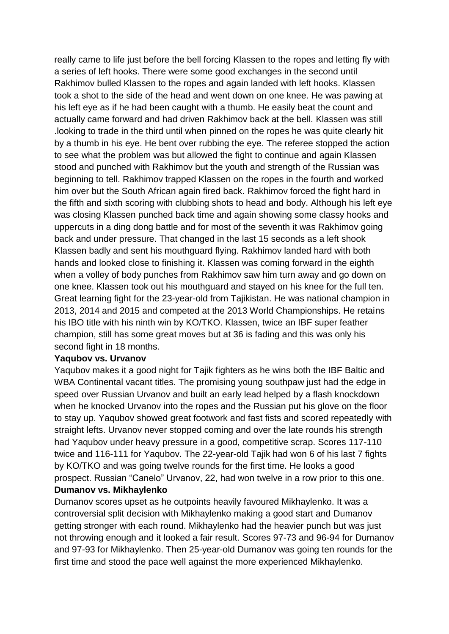really came to life just before the bell forcing Klassen to the ropes and letting fly with a series of left hooks. There were some good exchanges in the second until Rakhimov bulled Klassen to the ropes and again landed with left hooks. Klassen took a shot to the side of the head and went down on one knee. He was pawing at his left eye as if he had been caught with a thumb. He easily beat the count and actually came forward and had driven Rakhimov back at the bell. Klassen was still .looking to trade in the third until when pinned on the ropes he was quite clearly hit by a thumb in his eye. He bent over rubbing the eye. The referee stopped the action to see what the problem was but allowed the fight to continue and again Klassen stood and punched with Rakhimov but the youth and strength of the Russian was beginning to tell. Rakhimov trapped Klassen on the ropes in the fourth and worked him over but the South African again fired back. Rakhimov forced the fight hard in the fifth and sixth scoring with clubbing shots to head and body. Although his left eye was closing Klassen punched back time and again showing some classy hooks and uppercuts in a ding dong battle and for most of the seventh it was Rakhimov going back and under pressure. That changed in the last 15 seconds as a left shook Klassen badly and sent his mouthguard flying. Rakhimov landed hard with both hands and looked close to finishing it. Klassen was coming forward in the eighth when a volley of body punches from Rakhimov saw him turn away and go down on one knee. Klassen took out his mouthguard and stayed on his knee for the full ten. Great learning fight for the 23-year-old from Tajikistan. He was national champion in 2013, 2014 and 2015 and competed at the 2013 World Championships. He retains his IBO title with his ninth win by KO/TKO. Klassen, twice an IBF super feather champion, still has some great moves but at 36 is fading and this was only his second fight in 18 months.

#### **Yaqubov vs. Urvanov**

Yaqubov makes it a good night for Tajik fighters as he wins both the IBF Baltic and WBA Continental vacant titles. The promising young southpaw just had the edge in speed over Russian Urvanov and built an early lead helped by a flash knockdown when he knocked Urvanov into the ropes and the Russian put his glove on the floor to stay up. Yaqubov showed great footwork and fast fists and scored repeatedly with straight lefts. Urvanov never stopped coming and over the late rounds his strength had Yaqubov under heavy pressure in a good, competitive scrap. Scores 117-110 twice and 116-111 for Yaqubov. The 22-year-old Tajik had won 6 of his last 7 fights by KO/TKO and was going twelve rounds for the first time. He looks a good prospect. Russian "Canelo" Urvanov, 22, had won twelve in a row prior to this one. **Dumanov vs. Mikhaylenko**

Dumanov scores upset as he outpoints heavily favoured Mikhaylenko. It was a controversial split decision with Mikhaylenko making a good start and Dumanov getting stronger with each round. Mikhaylenko had the heavier punch but was just not throwing enough and it looked a fair result. Scores 97-73 and 96-94 for Dumanov and 97-93 for Mikhaylenko. Then 25-year-old Dumanov was going ten rounds for the first time and stood the pace well against the more experienced Mikhaylenko.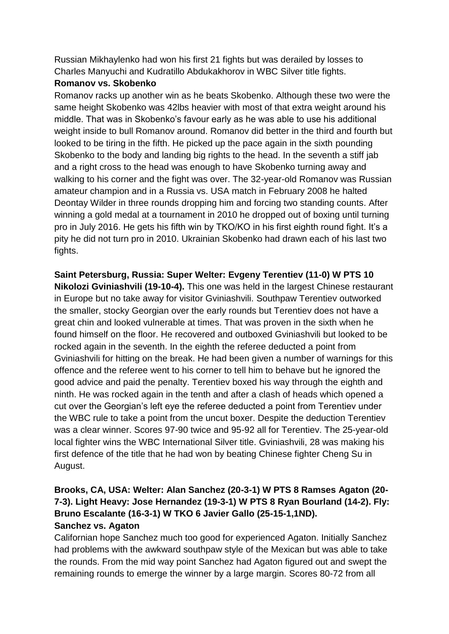Russian Mikhaylenko had won his first 21 fights but was derailed by losses to Charles Manyuchi and Kudratillo Abdukakhorov in WBC Silver title fights.

# **Romanov vs. Skobenko**

Romanov racks up another win as he beats Skobenko. Although these two were the same height Skobenko was 42lbs heavier with most of that extra weight around his middle. That was in Skobenko's favour early as he was able to use his additional weight inside to bull Romanov around. Romanov did better in the third and fourth but looked to be tiring in the fifth. He picked up the pace again in the sixth pounding Skobenko to the body and landing big rights to the head. In the seventh a stiff jab and a right cross to the head was enough to have Skobenko turning away and walking to his corner and the fight was over. The 32-year-old Romanov was Russian amateur champion and in a Russia vs. USA match in February 2008 he halted Deontay Wilder in three rounds dropping him and forcing two standing counts. After winning a gold medal at a tournament in 2010 he dropped out of boxing until turning pro in July 2016. He gets his fifth win by TKO/KO in his first eighth round fight. It's a pity he did not turn pro in 2010. Ukrainian Skobenko had drawn each of his last two fights.

**Saint Petersburg, Russia: Super Welter: Evgeny Terentiev (11-0) W PTS 10 Nikolozi Gviniashvili (19-10-4).** This one was held in the largest Chinese restaurant in Europe but no take away for visitor Gviniashvili. Southpaw Terentiev outworked the smaller, stocky Georgian over the early rounds but Terentiev does not have a great chin and looked vulnerable at times. That was proven in the sixth when he found himself on the floor. He recovered and outboxed Gviniashvili but looked to be rocked again in the seventh. In the eighth the referee deducted a point from Gviniashvili for hitting on the break. He had been given a number of warnings for this offence and the referee went to his corner to tell him to behave but he ignored the good advice and paid the penalty. Terentiev boxed his way through the eighth and ninth. He was rocked again in the tenth and after a clash of heads which opened a cut over the Georgian's left eye the referee deducted a point from Terentiev under the WBC rule to take a point from the uncut boxer. Despite the deduction Terentiev was a clear winner. Scores 97-90 twice and 95-92 all for Terentiev. The 25-year-old local fighter wins the WBC International Silver title. Gviniashvili, 28 was making his first defence of the title that he had won by beating Chinese fighter Cheng Su in August.

# **Brooks, CA, USA: Welter: Alan Sanchez (20-3-1) W PTS 8 Ramses Agaton (20- 7-3). Light Heavy: Jose Hernandez (19-3-1) W PTS 8 Ryan Bourland (14-2). Fly: Bruno Escalante (16-3-1) W TKO 6 Javier Gallo (25-15-1,1ND). Sanchez vs. Agaton**

Californian hope Sanchez much too good for experienced Agaton. Initially Sanchez had problems with the awkward southpaw style of the Mexican but was able to take the rounds. From the mid way point Sanchez had Agaton figured out and swept the remaining rounds to emerge the winner by a large margin. Scores 80-72 from all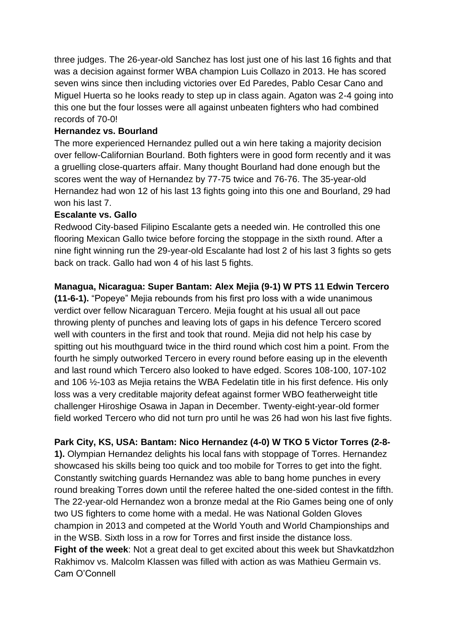three judges. The 26-year-old Sanchez has lost just one of his last 16 fights and that was a decision against former WBA champion Luis Collazo in 2013. He has scored seven wins since then including victories over Ed Paredes, Pablo Cesar Cano and Miguel Huerta so he looks ready to step up in class again. Agaton was 2-4 going into this one but the four losses were all against unbeaten fighters who had combined records of 70-0!

# **Hernandez vs. Bourland**

The more experienced Hernandez pulled out a win here taking a majority decision over fellow-Californian Bourland. Both fighters were in good form recently and it was a gruelling close-quarters affair. Many thought Bourland had done enough but the scores went the way of Hernandez by 77-75 twice and 76-76. The 35-year-old Hernandez had won 12 of his last 13 fights going into this one and Bourland, 29 had won his last 7.

# **Escalante vs. Gallo**

Redwood City-based Filipino Escalante gets a needed win. He controlled this one flooring Mexican Gallo twice before forcing the stoppage in the sixth round. After a nine fight winning run the 29-year-old Escalante had lost 2 of his last 3 fights so gets back on track. Gallo had won 4 of his last 5 fights.

# **Managua, Nicaragua: Super Bantam: Alex Mejia (9-1) W PTS 11 Edwin Tercero**

**(11-6-1).** "Popeye" Mejia rebounds from his first pro loss with a wide unanimous verdict over fellow Nicaraguan Tercero. Mejia fought at his usual all out pace throwing plenty of punches and leaving lots of gaps in his defence Tercero scored well with counters in the first and took that round. Mejia did not help his case by spitting out his mouthguard twice in the third round which cost him a point. From the fourth he simply outworked Tercero in every round before easing up in the eleventh and last round which Tercero also looked to have edged. Scores 108-100, 107-102 and 106 ½-103 as Mejia retains the WBA Fedelatin title in his first defence. His only loss was a very creditable majority defeat against former WBO featherweight title challenger Hiroshige Osawa in Japan in December. Twenty-eight-year-old former field worked Tercero who did not turn pro until he was 26 had won his last five fights.

# **Park City, KS, USA: Bantam: Nico Hernandez (4-0) W TKO 5 Victor Torres (2-8-**

**1).** Olympian Hernandez delights his local fans with stoppage of Torres. Hernandez showcased his skills being too quick and too mobile for Torres to get into the fight. Constantly switching guards Hernandez was able to bang home punches in every round breaking Torres down until the referee halted the one-sided contest in the fifth. The 22-year-old Hernandez won a bronze medal at the Rio Games being one of only two US fighters to come home with a medal. He was National Golden Gloves champion in 2013 and competed at the World Youth and World Championships and in the WSB. Sixth loss in a row for Torres and first inside the distance loss. **Fight of the week**: Not a great deal to get excited about this week but Shavkatdzhon Rakhimov vs. Malcolm Klassen was filled with action as was Mathieu Germain vs. Cam O'Connell